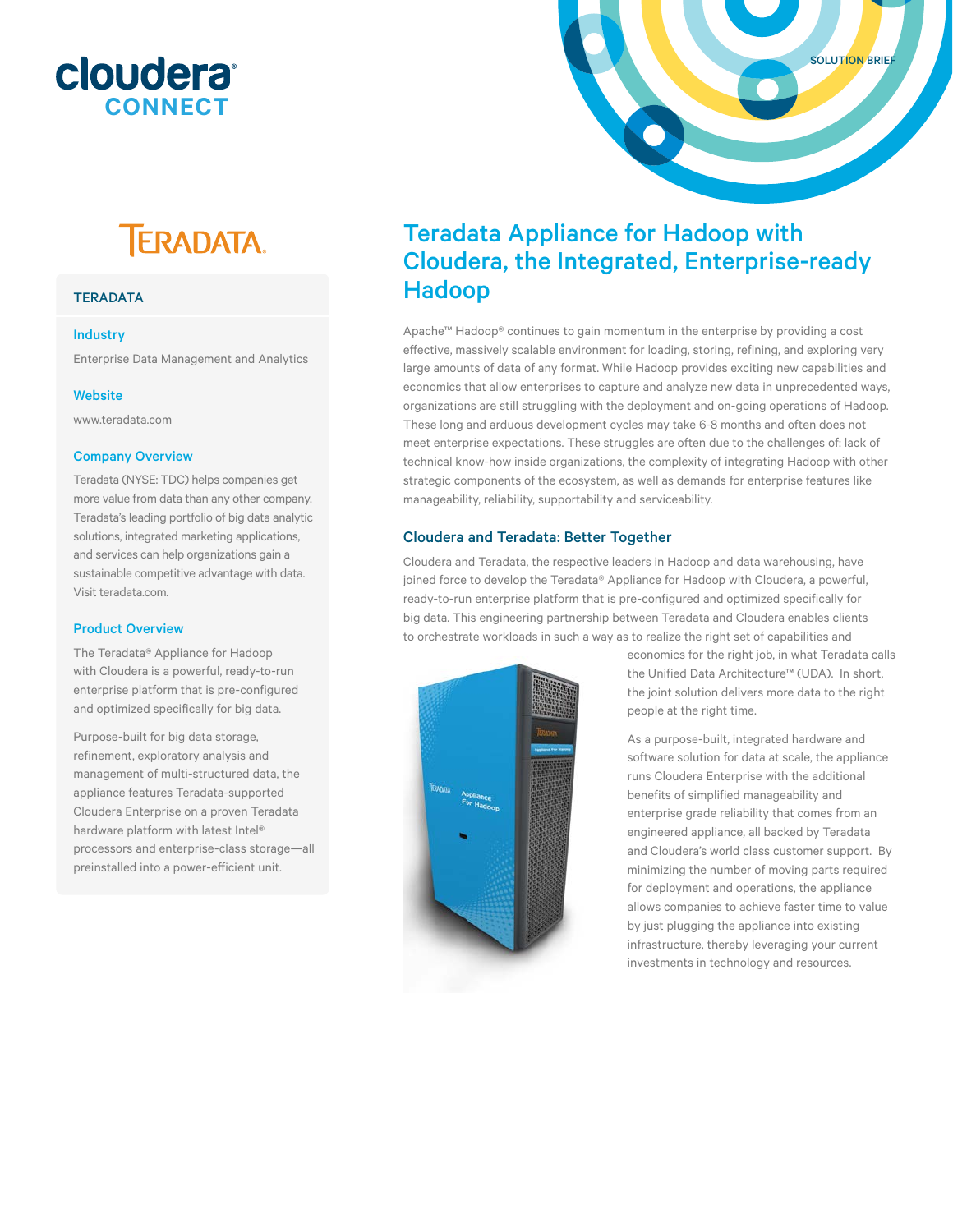# cloudera<sup>®</sup> **CONNECT**

# **TERADATA.**

# **TERADATA**

#### Industry

Enterprise Data Management and Analytics

#### **Website**

www.teradata.com

# Company Overview

Teradata (NYSE: TDC) helps companies get more value from data than any other company. Teradata's leading portfolio of big data analytic solutions, integrated marketing applications, and services can help organizations gain a sustainable competitive advantage with data. Visit teradata.com.

# Product Overview

The Teradata® Appliance for Hadoop with Cloudera is a powerful, ready-to-run enterprise platform that is pre-configured and optimized specifically for big data.

Purpose-built for big data storage, refinement, exploratory analysis and management of multi-structured data, the appliance features Teradata-supported Cloudera Enterprise on a proven Teradata hardware platform with latest Intel® processors and enterprise-class storage—all preinstalled into a power-efficient unit.

# Teradata Appliance for Hadoop with Cloudera, the Integrated, Enterprise-ready Hadoop

Apache™ Hadoop® continues to gain momentum in the enterprise by providing a cost effective, massively scalable environment for loading, storing, refining, and exploring very large amounts of data of any format. While Hadoop provides exciting new capabilities and economics that allow enterprises to capture and analyze new data in unprecedented ways, organizations are still struggling with the deployment and on-going operations of Hadoop. These long and arduous development cycles may take 6-8 months and often does not meet enterprise expectations. These struggles are often due to the challenges of: lack of technical know-how inside organizations, the complexity of integrating Hadoop with other strategic components of the ecosystem, as well as demands for enterprise features like manageability, reliability, supportability and serviceability.

# Cloudera and Teradata: Better Together

Cloudera and Teradata, the respective leaders in Hadoop and data warehousing, have joined force to develop the Teradata® Appliance for Hadoop with Cloudera, a powerful, ready-to-run enterprise platform that is pre-configured and optimized specifically for big data. This engineering partnership between Teradata and Cloudera enables clients to orchestrate workloads in such a way as to realize the right set of capabilities and



economics for the right job, in what Teradata calls the Unified Data Architecture™ (UDA). In short, the joint solution delivers more data to the right people at the right time.

SOLUTION BRIEF

As a purpose-built, integrated hardware and software solution for data at scale, the appliance runs Cloudera Enterprise with the additional benefits of simplified manageability and enterprise grade reliability that comes from an engineered appliance, all backed by Teradata and Cloudera's world class customer support. By minimizing the number of moving parts required for deployment and operations, the appliance allows companies to achieve faster time to value by just plugging the appliance into existing infrastructure, thereby leveraging your current investments in technology and resources.